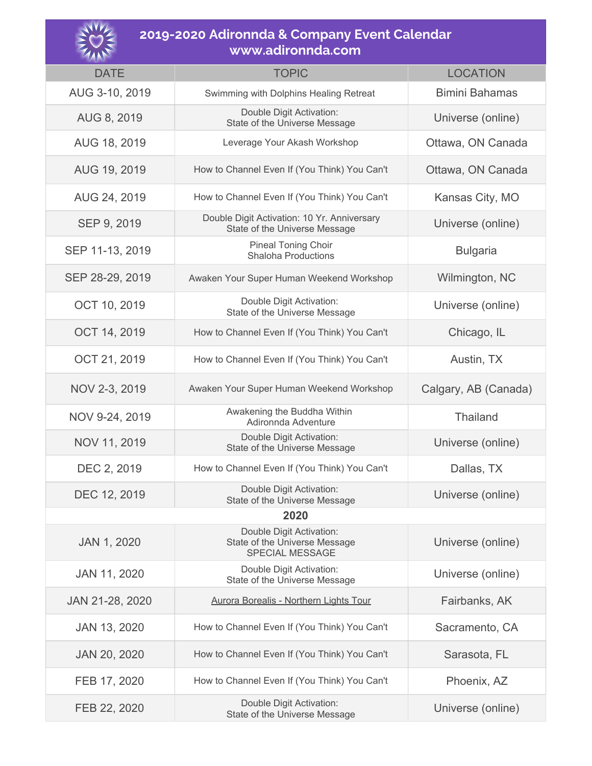

## **2019-2020 Adironnda & Company Event Calendar www.adironnda.com**

| $\mathcal{U}$ $\mathcal{V}$ $\mathcal{V}$ |                                                                              |                       |  |
|-------------------------------------------|------------------------------------------------------------------------------|-----------------------|--|
| <b>DATE</b>                               | <b>TOPIC</b>                                                                 | <b>LOCATION</b>       |  |
| AUG 3-10, 2019                            | Swimming with Dolphins Healing Retreat                                       | <b>Bimini Bahamas</b> |  |
| AUG 8, 2019                               | Double Digit Activation:<br>State of the Universe Message                    | Universe (online)     |  |
| AUG 18, 2019                              | Leverage Your Akash Workshop                                                 | Ottawa, ON Canada     |  |
| AUG 19, 2019                              | How to Channel Even If (You Think) You Can't                                 | Ottawa, ON Canada     |  |
| AUG 24, 2019                              | How to Channel Even If (You Think) You Can't                                 | Kansas City, MO       |  |
| SEP 9, 2019                               | Double Digit Activation: 10 Yr. Anniversary<br>State of the Universe Message | Universe (online)     |  |
| SEP 11-13, 2019                           | <b>Pineal Toning Choir</b><br><b>Shaloha Productions</b>                     | <b>Bulgaria</b>       |  |
| SEP 28-29, 2019                           | Awaken Your Super Human Weekend Workshop                                     | Wilmington, NC        |  |
| OCT 10, 2019                              | Double Digit Activation:<br>State of the Universe Message                    | Universe (online)     |  |
| OCT 14, 2019                              | How to Channel Even If (You Think) You Can't                                 | Chicago, IL           |  |
| OCT 21, 2019                              | How to Channel Even If (You Think) You Can't                                 | Austin, TX            |  |
| NOV 2-3, 2019                             | Awaken Your Super Human Weekend Workshop                                     | Calgary, AB (Canada)  |  |
| NOV 9-24, 2019                            | Awakening the Buddha Within<br>Adironnda Adventure                           | Thailand              |  |
| NOV 11, 2019                              | Double Digit Activation:<br>State of the Universe Message                    | Universe (online)     |  |
| DEC 2, 2019                               | How to Channel Even If (You Think) You Can't                                 | Dallas, TX            |  |
| DEC 12, 2019                              | Double Digit Activation:<br>State of the Universe Message                    | Universe (online)     |  |
| 2020                                      |                                                                              |                       |  |
| JAN 1, 2020                               | Double Digit Activation:<br>State of the Universe Message<br>SPECIAL MESSAGE | Universe (online)     |  |
| JAN 11, 2020                              | Double Digit Activation:<br>State of the Universe Message                    | Universe (online)     |  |
| JAN 21-28, 2020                           | <b>Aurora Borealis - Northern Lights Tour</b>                                | Fairbanks, AK         |  |
| JAN 13, 2020                              | How to Channel Even If (You Think) You Can't                                 | Sacramento, CA        |  |
| JAN 20, 2020                              | How to Channel Even If (You Think) You Can't                                 | Sarasota, FL          |  |
| FEB 17, 2020                              | How to Channel Even If (You Think) You Can't                                 | Phoenix, AZ           |  |
| FEB 22, 2020                              | Double Digit Activation:<br>State of the Universe Message                    | Universe (online)     |  |